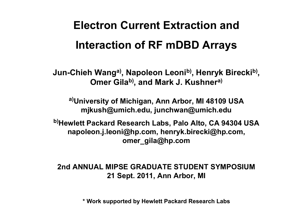# **Electron Current Extraction and Interaction of RF mDBD Arrays**

**Jun-Chieh Wanga), Napoleon Leonib), Henryk Bireckib), Omer Gilab), and Mark J. Kushnera)**

**a)University of Michigan, Ann Arbor, MI 48109 USA mjkush@umich.edu, junchwan@umich.edu**

**b)Hewlett Packard Research Labs, Palo Alto, CA 94304 USA napoleon.j.leoni@hp.com, henryk.birecki@hp.com, omer\_gila@hp.com**

**2nd ANNUAL MIPSE GRADUATE STUDENT SYMPOSIUM21 Sept. 2011, Ann Arbor, MI**

**\* Work supported by Hewlett Packard Research Labs**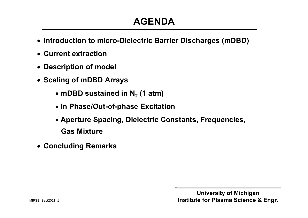## **AGENDA**

- **Introduction to micro-Dielectric Barrier Discharges (mDBD)**
- **Current extraction**
- **Description of model**
- **Scaling of mDBD Arrays** 
	- $\bullet$  mDBD sustained in N<sub>2</sub> (1 atm)
	- **In Phase/Out-of-phase Excitation**
	- **Aperture Spacing, Dielectric Constants, Frequencies, Gas Mixture**
- **Concluding Remarks**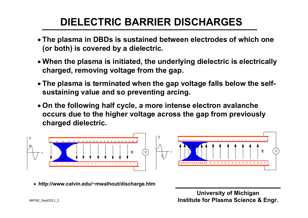# **DIELECTRIC BARRIER DISCHARGES**

- **The plasma in DBDs is sustained between electrodes of which one (or both) is covered by a dielectric.**
- **When the plasma is initiated, the underlying dielectric is electrically charged, removing voltage from the gap.**
- **The plasma is terminated when the gap voltage falls below the selfsustaining value and so preventing arcing.**
- **On the following half cycle, a more intense electron avalanche occurs due to the higher voltage across the gap from previously charged dielectric.**



**http://www.calvin.edu/~mwalhout/discharge.htm**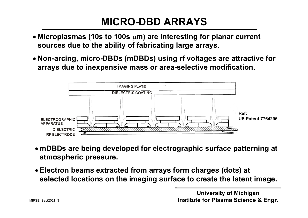## **MICRO-DBD ARRAYS**

- **Microplasmas (10s to 100s m) are interesting for planar current sources due to the ability of fabricating large arrays.**
- **Non-arcing, micro-DBDs (mDBDs) using rf voltages are attractive for arrays due to inexpensive mass or area-selective modification.**



- **mDBDs are being developed for electrographic surface patterning at atmospheric pressure.**
- **Electron beams extracted from arrays form charges (dots) at selected locations on the imaging surface to create the latent image.**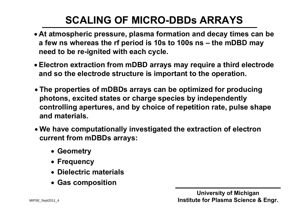# **SCALING OF MICRO-DBDs ARRAYS**

- **At atmospheric pressure, plasma formation and decay times can be a few ns whereas the rf period is 10s to 100s ns – the mDBD may need to be re-ignited with each cycle.**
- **Electron extraction from mDBD arrays may require a third electrode and so the electrode structure is important to the operation.**
- **The properties of mDBDs arrays can be optimized for producing photons, excited states or charge species by independently controlling apertures, and by choice of repetition rate, pulse shape and materials.**
- **We have computationally investigated the extraction of electron current from mDBDs arrays:**
	- **Geometry**
	- **Frequency**
	- **Dielectric materials**
	- **Gas composition**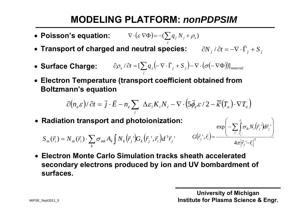## **MODELING PLATFORM:** *nonPDPSIM*

- Poisson's equation:  $\nabla \cdot (\varepsilon \nabla \Phi) = -(\sum q_i N_i + \rho_s)$ *j*  $\nabla \cdot (\varepsilon \nabla \Phi) = -(\sum q_j N_j + \rho_j)$
- $\bullet$  Transport of charged and neutral species:  $\qquad \partial N_{_f}/\partial t = -\nabla \cdot \bar{\Gamma}_{_f} + S_{_f}$ /  $\partial t = -\nabla \cdot \vec{\Gamma}$
- Surface Charge:  $\partial \rho_{s}/\partial t = [\sum q_{j}\big(\!\!-\!\nabla \cdot \vec{\Gamma}_{j} + S_{j}\big) \!\!-\!\nabla \cdot \big(\sigma \big(\!\!-\!\nabla \Phi\big)\!\!\big)]_{\textrm{\tiny material}}$ *j*  $\partial \rho_{_S}$  /  $\partial t$  = [  $\sum q_{_J}$   $\left(-\nabla \cdot \vec{\Gamma}_{_J} + S_{_{J}} \right)$   $- \nabla \cdot (\sigma(-\nabla \Phi))$ ]
- **Electron Temperature (transport coefficient obtained from Boltzmann's equation**

$$
\partial (n_e \varepsilon)/\partial t = \vec{j} \cdot \vec{E} - n_e \sum_i \Delta \varepsilon_i K_i N_i - \nabla \cdot (5 \vec{\phi}_e \varepsilon / 2 - \overline{\overline{\kappa}} (T_e) \cdot \nabla T_e)
$$

**Radiation transport and photoionization:** 

$$
S_m(\vec{r}_i) = N_m(\vec{r}_i) \cdot \sum_k \sigma_{mk} A_k \int N_k(\vec{r}_j \cdot) G_k(\vec{r}_j \cdot, \vec{r}_i) d^3 \vec{r}_j \cdot G(\vec{r}_j \cdot, \vec{r}_i)
$$

$$
G(\vec{r}_j^{\cdot\cdot},\vec{r}_i)=\frac{\exp\left(-\sum_l\prod_{\vec{r}_j}^{\vec{r}_i}\sigma_{lk}N_l(\vec{r}_j^{\cdot\cdot})d\vec{r}_j^{\cdot\cdot}\right)}{4\pi\left|\vec{r}_j^{\cdot\cdot}-\vec{r}_i\right|^2}
$$

 **Electron Monte Carlo Simulation tracks sheath accelerated secondary electrons produced by ion and UV bombardment of surfaces.** 

**University of Michigan** MIPSE\_Sept2011\_5 **Institute for Plasma Science & Engr.**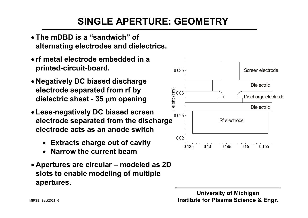## **SINGLE APERTURE: GEOMETRY**

- **The mDBD is a "sandwich" of alternating electrodes and dielectrics.**
- **rf metal electrode embedded in a printed-circuit-board.**
- **Negatively DC biased discharge electrode separated from rf by dielectric sheet - 35 <sup>m</sup> opening**
- **Less-negatively DC biased screen electrode separated from the discharge electrode acts as an anode switch**
	- **Extracts charge out of cavity**
	- 0 **Narrow the current beam**
- **Apertures are circular – modeled as 2D slots to enable modeling of multiple apertures.**

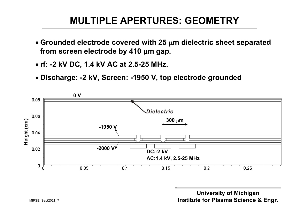#### **MULTIPLE APERTURES: GEOMETRY**

- **Grounded electrode covered with 25 <sup>m</sup> dielectric sheet separated from screen electrode by 410 m gap.**
- **rf: -2 kV DC, 1.4 kV AC at 2.5-25 MHz.**
- **Discharge: -2 kV, Screen: -1950 V, top electrode grounded**

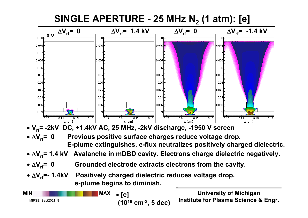

**(1016 cm-3, 5 dec)** MIPSE\_Sept2011\_8

**Institute for Plasma Science & Engr.**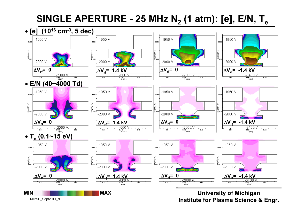#### **SINGLE APERTURE - 25 MHz N2 (1 atm): [e], E/N, Te**



MIPSE\_Sept2011\_9

**Institute for Plasma Science & Engr.**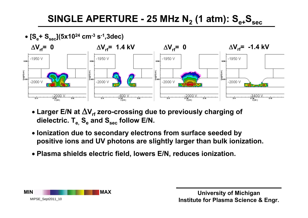#### **SINGLE APERTURE - 25 MHz N2 (1 atm): Se+Ssec**



- Larger E/N at  $\Delta V_{rf}$  zero-crossing due to previously charging of dielectric. T<sub>e,</sub> S<sub>e</sub> and S<sub>sec</sub> follow E/N.
- **Ionization due to secondary electrons from surface seeded by positive ions and UV photons are slightly larger than bulk ionization.**
- **Plasma shields electric field, lowers E/N, reduces ionization.**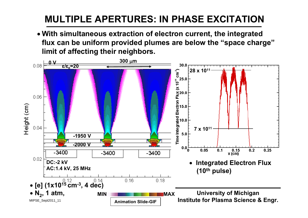## **MULTIPLE APERTURES: IN PHASE EXCITATION**

 **With simultaneous extraction of electron current, the integrated flux can be uniform provided plumes are below the "space charge" limit of affecting their neighbors.**

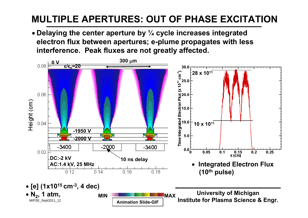## **MULTIPLE APERTURES: OUT OF PHASE EXCITATION**

 **Delaying the center aperture by ¼ cycle increases integrated electron flux between apertures; e-plume propagates with less interference. Peak fluxes are not greatly affected.** 

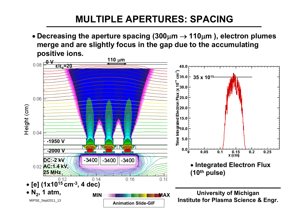#### **MULTIPLE APERTURES: SPACING**

 **Decreasing the aperture spacing (300m 110<sup>m</sup> ), electron plumes merge and are slightly focus in the gap due to the accumulating positive ions.**

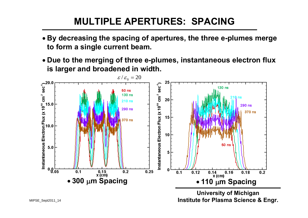#### **MULTIPLE APERTURES: SPACING**

- **By decreasing the spacing of apertures, the three e-plumes merge to form a single current beam.**
- **Due to the merging of three e-plumes, instantaneous electron flux is larger and broadened in width.**



**Institute for Plasma Science & Engr.**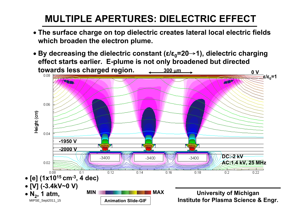## **MULTIPLE APERTURES: DIELECTRIC EFFECT**

- **The surface charge on top dielectric creates lateral local electric fields which broaden the electron plume.**
- **By decreasing the dielectric constant ( ε / ε <sup>0</sup>=20** <sup>→</sup>**1), dielectric charging effect starts earlier. E-plume is not only broadened but directed towards less charged region. 300 m 0 V**

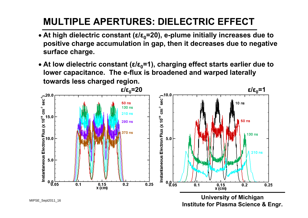## **MULTIPLE APERTURES: DIELECTRIC EFFECT**

- **At high dielectric constant ( ε / ε <sup>0</sup>=20), e-plume initially increases due to positive charge accumulation in gap, then it decreases due to negative surface charge.**
- At low dielectric constant (ε/ε<sub>0</sub>=1), charging effect starts earlier due to **lower capacitance. The e-flux is broadened and warped laterally towards less charged region.**



MIPSE\_Sept2011\_16

**Institute for Plasma Science & En gr.**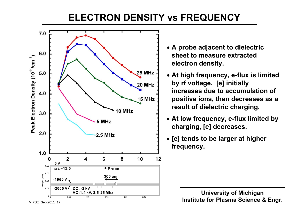#### **ELECTRON DENSITY vs FREQUENCY**



- **A probe adjacent to dielectric sheet to measure extracted electron density.**
- **At high frequency, e-flux is limited by rf voltage. [e] initially increases due to accumulation of positive ions, then decreases as a result of dielectric charging.**
- **At low frequency, e-flux limited by charging, [e] decreases.**
- **[e] tends to be larger at higher frequency.**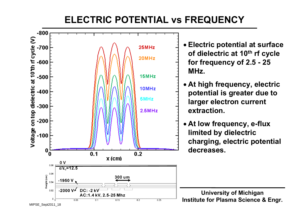#### **ELECTRIC POTENTIAL vs FREQUENCY**

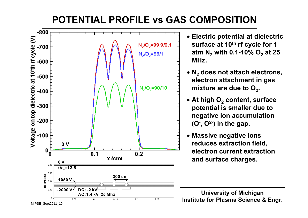#### **POTENTIAL PROFILE vs GAS COMPOSITION**